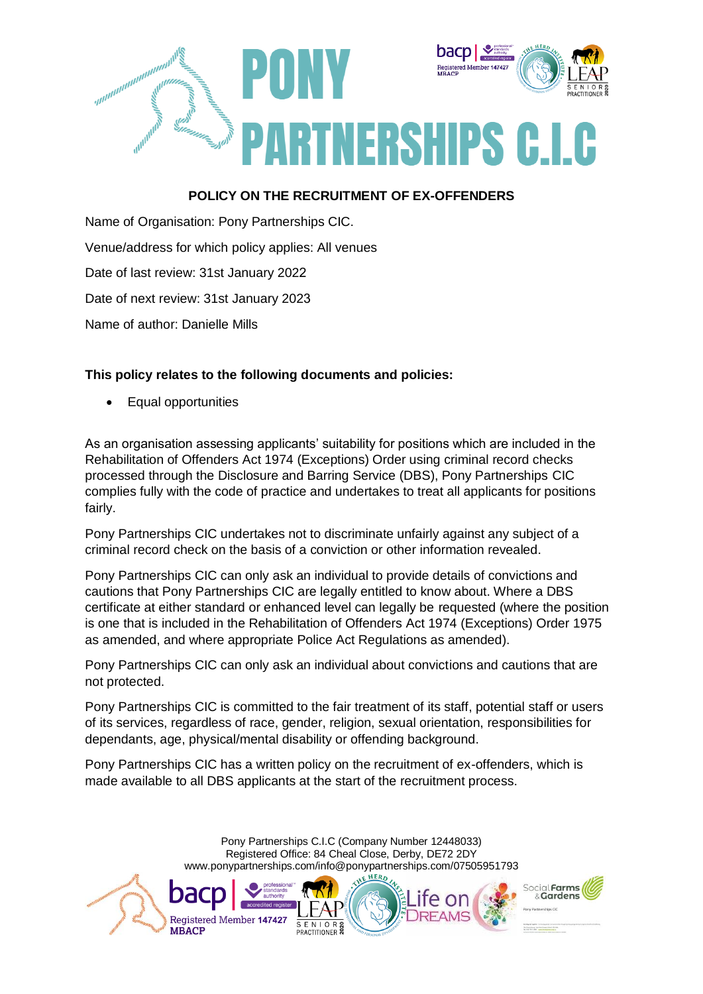

## **POLICY ON THE RECRUITMENT OF EX-OFFENDERS**

Name of Organisation: Pony Partnerships CIC. Venue/address for which policy applies: All venues Date of last review: 31st January 2022 Date of next review: 31st January 2023 Name of author: Danielle Mills

## **This policy relates to the following documents and policies:**

Equal opportunities

As an organisation assessing applicants' suitability for positions which are included in the Rehabilitation of Offenders Act 1974 (Exceptions) Order using criminal record checks processed through the Disclosure and Barring Service (DBS), Pony Partnerships CIC complies fully with the code of practice and undertakes to treat all applicants for positions fairly.

Pony Partnerships CIC undertakes not to discriminate unfairly against any subject of a criminal record check on the basis of a conviction or other information revealed.

Pony Partnerships CIC can only ask an individual to provide details of convictions and cautions that Pony Partnerships CIC are legally entitled to know about. Where a DBS certificate at either standard or enhanced level can legally be requested (where the position is one that is included in the Rehabilitation of Offenders Act 1974 (Exceptions) Order 1975 as amended, and where appropriate Police Act Regulations as amended).

Pony Partnerships CIC can only ask an individual about convictions and cautions that are not protected.

Pony Partnerships CIC is committed to the fair treatment of its staff, potential staff or users of its services, regardless of race, gender, religion, sexual orientation, responsibilities for dependants, age, physical/mental disability or offending background.

Pony Partnerships CIC has a written policy on the recruitment of ex-offenders, which is made available to all DBS applicants at the start of the recruitment process.

> Pony Partnerships C.I.C (Company Number 12448033) Registered Office: 84 Cheal Close, Derby, DE72 2DY www.ponypartnerships.com/info@ponypartnerships.com/07505951793

> > S E N I O R &

Registered Member 147427

**MBACP**